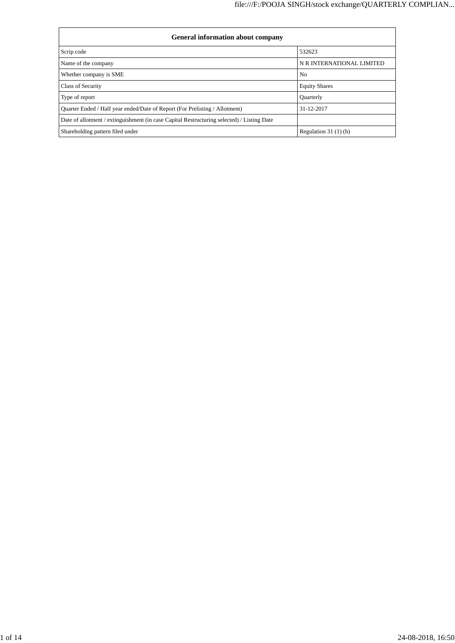| <b>General information about company</b>                                                   |                           |  |  |  |  |  |
|--------------------------------------------------------------------------------------------|---------------------------|--|--|--|--|--|
| Scrip code                                                                                 | 532623                    |  |  |  |  |  |
| Name of the company                                                                        | N R INTERNATIONAL LIMITED |  |  |  |  |  |
| Whether company is SME                                                                     | N <sub>o</sub>            |  |  |  |  |  |
| <b>Class of Security</b>                                                                   | <b>Equity Shares</b>      |  |  |  |  |  |
| Type of report                                                                             | <b>Ouarterly</b>          |  |  |  |  |  |
| Quarter Ended / Half year ended/Date of Report (For Prelisting / Allotment)                | 31-12-2017                |  |  |  |  |  |
| Date of allotment / extinguishment (in case Capital Restructuring selected) / Listing Date |                           |  |  |  |  |  |
| Shareholding pattern filed under                                                           | Regulation $31(1)(b)$     |  |  |  |  |  |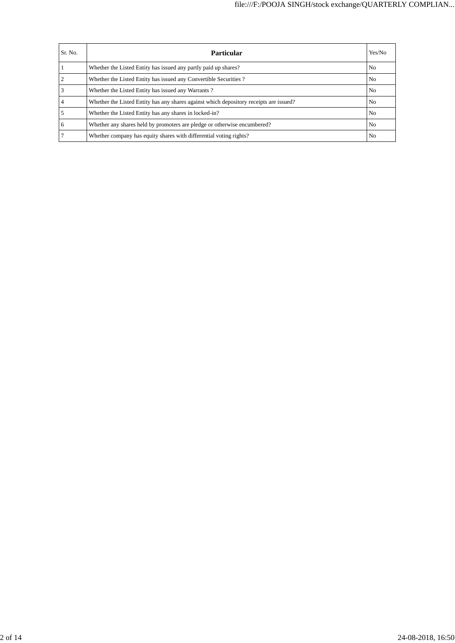| Sr. No. | <b>Particular</b>                                                                      | Yes/No         |
|---------|----------------------------------------------------------------------------------------|----------------|
|         | Whether the Listed Entity has issued any partly paid up shares?                        | N <sub>0</sub> |
|         | Whether the Listed Entity has issued any Convertible Securities?                       | N <sub>0</sub> |
|         | Whether the Listed Entity has issued any Warrants?                                     | N <sub>0</sub> |
|         | Whether the Listed Entity has any shares against which depository receipts are issued? | N <sub>0</sub> |
|         | Whether the Listed Entity has any shares in locked-in?                                 | N <sub>0</sub> |
| 6       | Whether any shares held by promoters are pledge or otherwise encumbered?               | N <sub>0</sub> |
|         | Whether company has equity shares with differential voting rights?                     | N <sub>0</sub> |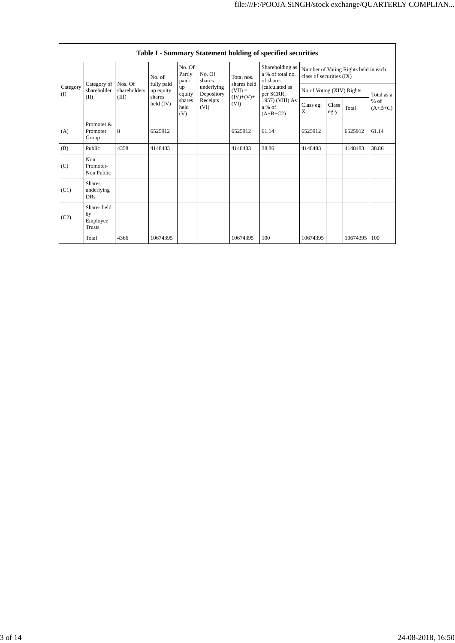|                           | Table I - Summary Statement holding of specified securities |                         |                         |                           |                          |                           |                                                  |                                                                  |               |          |                     |
|---------------------------|-------------------------------------------------------------|-------------------------|-------------------------|---------------------------|--------------------------|---------------------------|--------------------------------------------------|------------------------------------------------------------------|---------------|----------|---------------------|
| Category<br>$($ I<br>(II) |                                                             |                         | No. of                  | No. Of<br>Partly<br>paid- | No. Of<br>shares         | Total nos.<br>shares held | Shareholding as<br>a % of total no.<br>of shares | Number of Voting Rights held in each<br>class of securities (IX) |               |          |                     |
|                           | Category of<br>shareholder                                  | Nos. Of<br>shareholders | fully paid<br>up equity | up<br>equity              | underlying<br>Depository | $(VII) =$                 | (calculated as<br>per SCRR,                      | No of Voting (XIV) Rights                                        |               |          | Total as a          |
|                           | (III)                                                       |                         | shares<br>held $(IV)$   | shares<br>held<br>(V)     | Receipts<br>(VI)         | $(IV)+(V)+$<br>(VI)       | 1957) (VIII) As<br>a % of<br>$(A+B+C2)$          | Class eg:<br>X                                                   | Class<br>eg:y | Total    | $%$ of<br>$(A+B+C)$ |
| (A)                       | Promoter &<br>Promoter<br>Group                             | 8                       | 6525912                 |                           |                          | 6525912                   | 61.14                                            | 6525912                                                          |               | 6525912  | 61.14               |
| (B)                       | Public                                                      | 4358                    | 4148483                 |                           |                          | 4148483                   | 38.86                                            | 4148483                                                          |               | 4148483  | 38.86               |
| (C)                       | Non.<br>Promoter-<br>Non Public                             |                         |                         |                           |                          |                           |                                                  |                                                                  |               |          |                     |
| (C1)                      | <b>Shares</b><br>underlying<br><b>DRs</b>                   |                         |                         |                           |                          |                           |                                                  |                                                                  |               |          |                     |
| (C2)                      | Shares held<br>by<br>Employee<br>Trusts                     |                         |                         |                           |                          |                           |                                                  |                                                                  |               |          |                     |
|                           | Total                                                       | 4366                    | 10674395                |                           |                          | 10674395                  | 100                                              | 10674395                                                         |               | 10674395 | 100                 |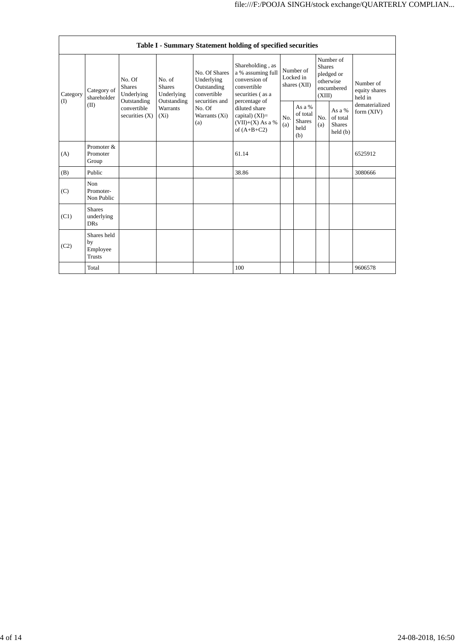|                 | Table I - Summary Statement holding of specified securities |                                                |                                           |                                       |                                                                             |                                                                                                                                                                                        |                                                    |            |                                                                               |                              |                                       |
|-----------------|-------------------------------------------------------------|------------------------------------------------|-------------------------------------------|---------------------------------------|-----------------------------------------------------------------------------|----------------------------------------------------------------------------------------------------------------------------------------------------------------------------------------|----------------------------------------------------|------------|-------------------------------------------------------------------------------|------------------------------|---------------------------------------|
| Category<br>(I) | Category of<br>shareholder<br>(II)                          | No. Of<br><b>Shares</b><br>Underlying          |                                           | No. of<br><b>Shares</b><br>Underlying | No. Of Shares<br>Underlying<br>Outstanding<br>convertible<br>securities and | Shareholding, as<br>a % assuming full<br>conversion of<br>convertible<br>securities (as a<br>percentage of<br>diluted share<br>capital) $(XI)=$<br>$(VII)+(X)$ As a %<br>of $(A+B+C2)$ | Number of<br>Locked in<br>shares (XII)             |            | Number of<br><b>Shares</b><br>pledged or<br>otherwise<br>encumbered<br>(XIII) |                              | Number of<br>equity shares<br>held in |
|                 |                                                             | Outstanding<br>convertible<br>securities $(X)$ | Outstanding<br><b>Warrants</b><br>$(X_i)$ | No. Of<br>Warrants (Xi)<br>(a)        | No.<br>(a)                                                                  |                                                                                                                                                                                        | As a %<br>of total<br><b>Shares</b><br>held<br>(b) | No.<br>(a) | As a %<br>of total<br><b>Shares</b><br>held(b)                                | dematerialized<br>form (XIV) |                                       |
| (A)             | Promoter &<br>Promoter<br>Group                             |                                                |                                           |                                       | 61.14                                                                       |                                                                                                                                                                                        |                                                    |            |                                                                               | 6525912                      |                                       |
| (B)             | Public                                                      |                                                |                                           |                                       | 38.86                                                                       |                                                                                                                                                                                        |                                                    |            |                                                                               | 3080666                      |                                       |
| (C)             | Non<br>Promoter-<br>Non Public                              |                                                |                                           |                                       |                                                                             |                                                                                                                                                                                        |                                                    |            |                                                                               |                              |                                       |
| (C1)            | <b>Shares</b><br>underlying<br><b>DRs</b>                   |                                                |                                           |                                       |                                                                             |                                                                                                                                                                                        |                                                    |            |                                                                               |                              |                                       |
| (C2)            | Shares held<br>by<br>Employee<br><b>Trusts</b>              |                                                |                                           |                                       |                                                                             |                                                                                                                                                                                        |                                                    |            |                                                                               |                              |                                       |
|                 | Total                                                       |                                                |                                           |                                       | 100                                                                         |                                                                                                                                                                                        |                                                    |            |                                                                               | 9606578                      |                                       |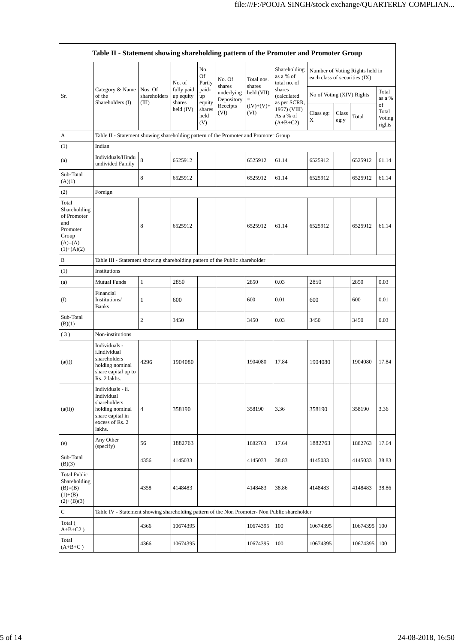|                                                                                               | Table II - Statement showing shareholding pattern of the Promoter and Promoter Group                                |                                  |                                   |                       |                          |                      |                                                         |                               |               |                                 |                                 |
|-----------------------------------------------------------------------------------------------|---------------------------------------------------------------------------------------------------------------------|----------------------------------|-----------------------------------|-----------------------|--------------------------|----------------------|---------------------------------------------------------|-------------------------------|---------------|---------------------------------|---------------------------------|
|                                                                                               |                                                                                                                     |                                  | No. of                            | No.<br>Of<br>Partly   | No. Of<br>shares         | Total nos.<br>shares | Shareholding<br>as a % of<br>total no. of               | each class of securities (IX) |               | Number of Voting Rights held in |                                 |
| Sr.                                                                                           | Category & Name<br>of the<br>Shareholders (I)                                                                       | Nos. Of<br>shareholders<br>(III) | fully paid<br>up equity<br>shares | paid-<br>up<br>equity | underlying<br>Depository | held (VII)<br>$=$    | shares<br>(calculated                                   | No of Voting (XIV) Rights     |               |                                 | Total<br>as a %                 |
|                                                                                               |                                                                                                                     |                                  | held $(IV)$                       | shares<br>held<br>(V) | Receipts<br>(VI)         | $(IV)+(V)+$<br>(VI)  | as per SCRR,<br>1957) (VIII)<br>As a % of<br>$(A+B+C2)$ | Class eg:<br>X                | Class<br>eg:y | Total                           | of<br>Total<br>Voting<br>rights |
| A                                                                                             | Table II - Statement showing shareholding pattern of the Promoter and Promoter Group                                |                                  |                                   |                       |                          |                      |                                                         |                               |               |                                 |                                 |
| (1)                                                                                           | Indian                                                                                                              |                                  |                                   |                       |                          |                      |                                                         |                               |               |                                 |                                 |
| (a)                                                                                           | Individuals/Hindu<br>undivided Family                                                                               | 8                                | 6525912                           |                       |                          | 6525912              | 61.14                                                   | 6525912                       |               | 6525912                         | 61.14                           |
| Sub-Total<br>(A)(1)                                                                           |                                                                                                                     | 8                                | 6525912                           |                       |                          | 6525912              | 61.14                                                   | 6525912                       |               | 6525912                         | 61.14                           |
| (2)                                                                                           | Foreign                                                                                                             |                                  |                                   |                       |                          |                      |                                                         |                               |               |                                 |                                 |
| Total<br>Shareholding<br>of Promoter<br>and<br>Promoter<br>Group<br>$(A)=(A)$<br>$(1)+(A)(2)$ |                                                                                                                     | 8                                | 6525912                           |                       |                          | 6525912              | 61.14                                                   | 6525912                       |               | 6525912                         | 61.14                           |
| B                                                                                             | Table III - Statement showing shareholding pattern of the Public shareholder                                        |                                  |                                   |                       |                          |                      |                                                         |                               |               |                                 |                                 |
| (1)                                                                                           | Institutions                                                                                                        |                                  |                                   |                       |                          |                      |                                                         |                               |               |                                 |                                 |
| (a)                                                                                           | <b>Mutual Funds</b>                                                                                                 | $\mathbf{1}$                     | 2850                              |                       |                          | 2850                 | 0.03                                                    | 2850                          |               | 2850                            | 0.03                            |
| (f)                                                                                           | Financial<br>Institutions/<br><b>Banks</b>                                                                          | 1                                | 600                               |                       |                          | 600                  | 0.01                                                    | 600                           |               | 600                             | 0.01                            |
| Sub-Total<br>(B)(1)                                                                           |                                                                                                                     | 2                                | 3450                              |                       |                          | 3450                 | 0.03                                                    | 3450                          |               | 3450                            | 0.03                            |
| (3)                                                                                           | Non-institutions                                                                                                    |                                  |                                   |                       |                          |                      |                                                         |                               |               |                                 |                                 |
| (a(i))                                                                                        | Individuals -<br>i.Individual<br>shareholders<br>holding nominal<br>share capital up to<br>Rs. 2 lakhs.             | 4296                             | 1904080                           |                       |                          | 1904080              | 17.84                                                   | 1904080                       |               | 1904080                         | 17.84                           |
| (a(ii))                                                                                       | Individuals - ii.<br>Individual<br>shareholders<br>holding nominal<br>share capital in<br>excess of Rs. 2<br>lakhs. | $\overline{\mathbf{4}}$          | 358190                            |                       |                          | 358190               | 3.36                                                    | 358190                        |               | 358190                          | 3.36                            |
| (e)                                                                                           | Any Other<br>(specify)                                                                                              | 56                               | 1882763                           |                       |                          | 1882763              | 17.64                                                   | 1882763                       |               | 1882763                         | 17.64                           |
| Sub-Total<br>(B)(3)                                                                           |                                                                                                                     | 4356                             | 4145033                           |                       |                          | 4145033              | 38.83                                                   | 4145033                       |               | 4145033                         | 38.83                           |
| Total Public<br>Shareholding<br>$(B)= (B)$<br>$(1)+(B)$<br>$(2)+(B)(3)$                       |                                                                                                                     | 4358                             | 4148483                           |                       |                          | 4148483              | 38.86                                                   | 4148483                       |               | 4148483                         | 38.86                           |
| $\mathsf{C}$                                                                                  | Table IV - Statement showing shareholding pattern of the Non Promoter- Non Public shareholder                       |                                  |                                   |                       |                          |                      |                                                         |                               |               |                                 |                                 |
| Total (<br>$A+B+C2$ )                                                                         |                                                                                                                     | 4366                             | 10674395                          |                       |                          | 10674395             | 100                                                     | 10674395                      |               | 10674395                        | 100                             |
| Total<br>$(A+B+C)$                                                                            |                                                                                                                     | 4366                             | 10674395                          |                       |                          | 10674395             | 100                                                     | 10674395                      |               | 10674395                        | 100                             |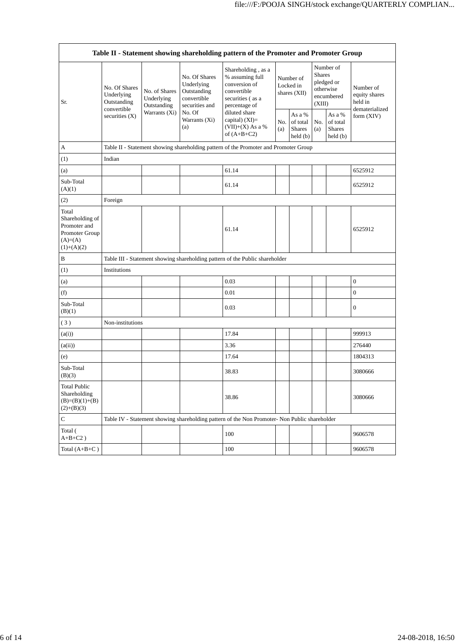|                                                                                         | Table II - Statement showing shareholding pattern of the Promoter and Promoter Group |                                                               |                                                                             |                                                                                                            |                                          |                                                                |                                                                               |                                                |                                                         |
|-----------------------------------------------------------------------------------------|--------------------------------------------------------------------------------------|---------------------------------------------------------------|-----------------------------------------------------------------------------|------------------------------------------------------------------------------------------------------------|------------------------------------------|----------------------------------------------------------------|-------------------------------------------------------------------------------|------------------------------------------------|---------------------------------------------------------|
| Sr.                                                                                     | No. Of Shares<br>Underlying<br>Outstanding                                           | No. of Shares<br>Underlying<br>Outstanding<br>Warrants $(Xi)$ | No. Of Shares<br>Underlying<br>Outstanding<br>convertible<br>securities and | Shareholding, as a<br>% assuming full<br>conversion of<br>convertible<br>securities (as a<br>percentage of | Number of<br>Locked in<br>shares $(XII)$ |                                                                | Number of<br><b>Shares</b><br>pledged or<br>otherwise<br>encumbered<br>(XIII) |                                                | Number of<br>equity shares<br>held in<br>dematerialized |
|                                                                                         | convertible<br>securities (X)                                                        |                                                               | No. Of<br>Warrants (Xi)<br>(a)                                              | diluted share<br>capital) $(XI)=$<br>$(VII)+(X)$ As a %<br>of $(A+B+C2)$                                   | No.<br>(a)                               | As a %<br>of total<br><b>Shares</b><br>$\text{held}(\text{b})$ | No.<br>(a)                                                                    | As a %<br>of total<br><b>Shares</b><br>held(b) | form (XIV)                                              |
| A                                                                                       |                                                                                      |                                                               |                                                                             | Table II - Statement showing shareholding pattern of the Promoter and Promoter Group                       |                                          |                                                                |                                                                               |                                                |                                                         |
| (1)                                                                                     | Indian                                                                               |                                                               |                                                                             |                                                                                                            |                                          |                                                                |                                                                               |                                                |                                                         |
| (a)                                                                                     |                                                                                      |                                                               |                                                                             | 61.14                                                                                                      |                                          |                                                                |                                                                               |                                                | 6525912                                                 |
| Sub-Total<br>(A)(1)                                                                     |                                                                                      |                                                               |                                                                             | 61.14                                                                                                      |                                          |                                                                |                                                                               |                                                | 6525912                                                 |
| (2)                                                                                     | Foreign                                                                              |                                                               |                                                                             |                                                                                                            |                                          |                                                                |                                                                               |                                                |                                                         |
| Total<br>Shareholding of<br>Promoter and<br>Promoter Group<br>$(A)=(A)$<br>$(1)+(A)(2)$ |                                                                                      |                                                               |                                                                             | 61.14                                                                                                      |                                          |                                                                |                                                                               |                                                | 6525912                                                 |
| B                                                                                       |                                                                                      |                                                               |                                                                             | Table III - Statement showing shareholding pattern of the Public shareholder                               |                                          |                                                                |                                                                               |                                                |                                                         |
| (1)                                                                                     | Institutions                                                                         |                                                               |                                                                             |                                                                                                            |                                          |                                                                |                                                                               |                                                |                                                         |
| (a)                                                                                     |                                                                                      |                                                               |                                                                             | 0.03                                                                                                       |                                          |                                                                |                                                                               |                                                | $\boldsymbol{0}$                                        |
| (f)                                                                                     |                                                                                      |                                                               |                                                                             | 0.01                                                                                                       |                                          |                                                                |                                                                               |                                                | $\boldsymbol{0}$                                        |
| Sub-Total<br>(B)(1)                                                                     |                                                                                      |                                                               |                                                                             | 0.03                                                                                                       |                                          |                                                                |                                                                               |                                                | $\boldsymbol{0}$                                        |
| (3)                                                                                     | Non-institutions                                                                     |                                                               |                                                                             |                                                                                                            |                                          |                                                                |                                                                               |                                                |                                                         |
| (a(i))                                                                                  |                                                                                      |                                                               |                                                                             | 17.84                                                                                                      |                                          |                                                                |                                                                               |                                                | 999913                                                  |
| (a(ii))                                                                                 |                                                                                      |                                                               |                                                                             | 3.36                                                                                                       |                                          |                                                                |                                                                               |                                                | 276440                                                  |
| (e)                                                                                     |                                                                                      |                                                               |                                                                             | 17.64                                                                                                      |                                          |                                                                |                                                                               |                                                | 1804313                                                 |
| Sub-Total<br>(B)(3)                                                                     |                                                                                      |                                                               |                                                                             | 38.83                                                                                                      |                                          |                                                                |                                                                               |                                                | 3080666                                                 |
| <b>Total Public</b><br>Shareholding<br>$(B)=(B)(1)+(B)$<br>$(2)+(B)(3)$                 |                                                                                      |                                                               |                                                                             | 38.86                                                                                                      |                                          |                                                                |                                                                               |                                                | 3080666                                                 |
| C                                                                                       |                                                                                      |                                                               |                                                                             | Table IV - Statement showing shareholding pattern of the Non Promoter- Non Public shareholder              |                                          |                                                                |                                                                               |                                                |                                                         |
| Total (<br>$A+B+C2$ )                                                                   |                                                                                      |                                                               |                                                                             | 100                                                                                                        |                                          |                                                                |                                                                               |                                                | 9606578                                                 |
| Total $(A+B+C)$                                                                         |                                                                                      |                                                               |                                                                             | 100                                                                                                        |                                          |                                                                |                                                                               |                                                | 9606578                                                 |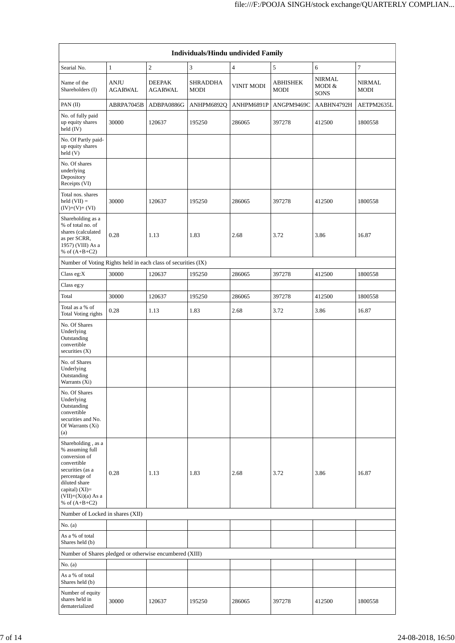| Individuals/Hindu undivided Family                                                                                                                                                       |                               |                                 |                  |                   |                         |                                        |                              |  |
|------------------------------------------------------------------------------------------------------------------------------------------------------------------------------------------|-------------------------------|---------------------------------|------------------|-------------------|-------------------------|----------------------------------------|------------------------------|--|
| Searial No.                                                                                                                                                                              | $\mathbf{1}$                  | $\overline{c}$                  | 3                | $\overline{4}$    | 5                       | 6                                      | 7                            |  |
| Name of the<br>Shareholders (I)                                                                                                                                                          | <b>ANJU</b><br><b>AGARWAL</b> | <b>DEEPAK</b><br><b>AGARWAL</b> | SHRADDHA<br>MODI | <b>VINIT MODI</b> | <b>ABHISHEK</b><br>MODI | <b>NIRMAL</b><br>MODI &<br><b>SONS</b> | <b>NIRMAL</b><br><b>MODI</b> |  |
| PAN (II)                                                                                                                                                                                 | ABRPA7045B                    | ADBPA0886G                      | ANHPM6892Q       | ANHPM6891P        | ANGPM9469C              | AABHN4792H                             | AETPM2635L                   |  |
| No. of fully paid<br>up equity shares<br>held (IV)                                                                                                                                       | 30000                         | 120637                          | 195250           | 286065            | 397278                  | 412500                                 | 1800558                      |  |
| No. Of Partly paid-<br>up equity shares<br>held(V)                                                                                                                                       |                               |                                 |                  |                   |                         |                                        |                              |  |
| No. Of shares<br>underlying<br>Depository<br>Receipts (VI)                                                                                                                               |                               |                                 |                  |                   |                         |                                        |                              |  |
| Total nos. shares<br>$held (VII) =$<br>$(IV)+(V)+(VI)$                                                                                                                                   | 30000                         | 120637                          | 195250           | 286065            | 397278                  | 412500                                 | 1800558                      |  |
| Shareholding as a<br>% of total no. of<br>shares (calculated<br>as per SCRR,<br>1957) (VIII) As a<br>% of $(A+B+C2)$                                                                     | 0.28                          | 1.13                            | 1.83             | 2.68              | 3.72                    | 3.86                                   | 16.87                        |  |
| Number of Voting Rights held in each class of securities (IX)                                                                                                                            |                               |                                 |                  |                   |                         |                                        |                              |  |
| Class eg:X                                                                                                                                                                               | 30000                         | 120637                          | 195250           | 286065            | 397278                  | 412500                                 | 1800558                      |  |
| Class eg:y                                                                                                                                                                               |                               |                                 |                  |                   |                         |                                        |                              |  |
| Total                                                                                                                                                                                    | 30000                         | 120637                          | 195250           | 286065            | 397278                  | 412500                                 | 1800558                      |  |
| Total as a % of<br>Total Voting rights                                                                                                                                                   | 0.28                          | 1.13                            | 1.83             | 2.68              | 3.72                    | 3.86                                   | 16.87                        |  |
| No. Of Shares<br>Underlying<br>Outstanding<br>convertible<br>securities (X)                                                                                                              |                               |                                 |                  |                   |                         |                                        |                              |  |
| No. of Shares<br>Underlying<br>Outstanding<br>Warrants (Xi)                                                                                                                              |                               |                                 |                  |                   |                         |                                        |                              |  |
| No. Of Shares<br>Underlying<br>Outstanding<br>convertible<br>securities and No.<br>Of Warrants (Xi)<br>(a)                                                                               |                               |                                 |                  |                   |                         |                                        |                              |  |
| Shareholding, as a<br>% assuming full<br>conversion of<br>convertible<br>securities (as a<br>percentage of<br>diluted share<br>capital) (XI)=<br>$(VII)+(Xi)(a)$ As a<br>% of $(A+B+C2)$ | 0.28                          | 1.13                            | 1.83             | 2.68              | 3.72                    | 3.86                                   | 16.87                        |  |
| Number of Locked in shares (XII)                                                                                                                                                         |                               |                                 |                  |                   |                         |                                        |                              |  |
| No. (a)                                                                                                                                                                                  |                               |                                 |                  |                   |                         |                                        |                              |  |
| As a % of total<br>Shares held (b)                                                                                                                                                       |                               |                                 |                  |                   |                         |                                        |                              |  |
| Number of Shares pledged or otherwise encumbered (XIII)                                                                                                                                  |                               |                                 |                  |                   |                         |                                        |                              |  |
| No. (a)                                                                                                                                                                                  |                               |                                 |                  |                   |                         |                                        |                              |  |
| As a % of total<br>Shares held (b)                                                                                                                                                       |                               |                                 |                  |                   |                         |                                        |                              |  |
| Number of equity<br>shares held in<br>dematerialized                                                                                                                                     | 30000                         | 120637                          | 195250           | 286065            | 397278                  | 412500                                 | 1800558                      |  |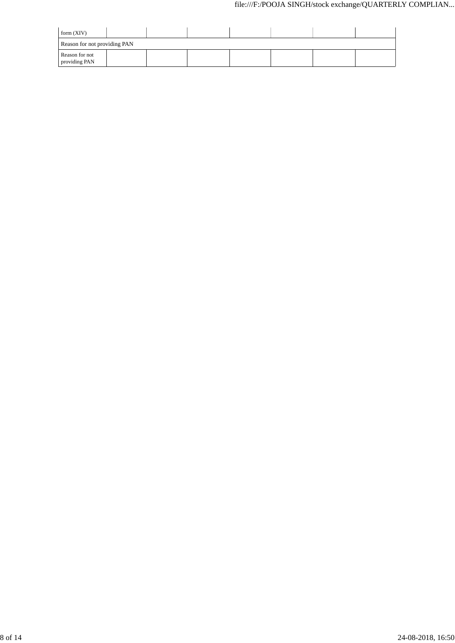| form $(XIV)$                    |  |  |  |  |
|---------------------------------|--|--|--|--|
| Reason for not providing PAN    |  |  |  |  |
| Reason for not<br>providing PAN |  |  |  |  |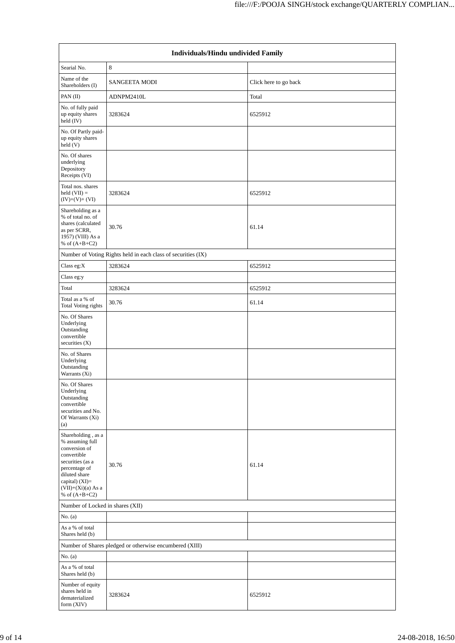| Individuals/Hindu undivided Family                                                                                                                                                         |                                                               |                       |  |  |  |  |
|--------------------------------------------------------------------------------------------------------------------------------------------------------------------------------------------|---------------------------------------------------------------|-----------------------|--|--|--|--|
| Searial No.                                                                                                                                                                                | 8                                                             |                       |  |  |  |  |
| Name of the<br>Shareholders (I)                                                                                                                                                            | <b>SANGEETA MODI</b>                                          | Click here to go back |  |  |  |  |
| PAN $(II)$                                                                                                                                                                                 | ADNPM2410L                                                    | Total                 |  |  |  |  |
| No. of fully paid<br>up equity shares<br>held (IV)                                                                                                                                         | 3283624                                                       | 6525912               |  |  |  |  |
| No. Of Partly paid-<br>up equity shares<br>held (V)                                                                                                                                        |                                                               |                       |  |  |  |  |
| No. Of shares<br>underlying<br>Depository<br>Receipts (VI)                                                                                                                                 |                                                               |                       |  |  |  |  |
| Total nos. shares<br>held $(VII) =$<br>$(IV)+(V)+(VI)$                                                                                                                                     | 3283624                                                       | 6525912               |  |  |  |  |
| Shareholding as a<br>% of total no. of<br>shares (calculated<br>as per SCRR,<br>1957) (VIII) As a<br>% of $(A+B+C2)$                                                                       | 30.76                                                         | 61.14                 |  |  |  |  |
|                                                                                                                                                                                            | Number of Voting Rights held in each class of securities (IX) |                       |  |  |  |  |
| Class eg:X                                                                                                                                                                                 | 3283624                                                       | 6525912               |  |  |  |  |
| Class eg:y                                                                                                                                                                                 |                                                               |                       |  |  |  |  |
| Total                                                                                                                                                                                      | 3283624                                                       | 6525912               |  |  |  |  |
| Total as a % of<br><b>Total Voting rights</b>                                                                                                                                              | 30.76                                                         | 61.14                 |  |  |  |  |
| No. Of Shares<br>Underlying<br>Outstanding<br>convertible<br>securities $(X)$                                                                                                              |                                                               |                       |  |  |  |  |
| No. of Shares                                                                                                                                                                              |                                                               |                       |  |  |  |  |
| Underlying<br>Outstanding<br>Warrants (Xi)                                                                                                                                                 |                                                               |                       |  |  |  |  |
| No. Of Shares<br>Underlying<br>Outstanding<br>convertible<br>securities and No.<br>Of Warrants (Xi)<br>(a)                                                                                 |                                                               |                       |  |  |  |  |
| Shareholding, as a<br>% assuming full<br>conversion of<br>convertible<br>securities (as a<br>percentage of<br>diluted share<br>capital) $(XI)=$<br>$(VII)+(Xi)(a)$ As a<br>% of $(A+B+C2)$ | 30.76                                                         | 61.14                 |  |  |  |  |
| Number of Locked in shares (XII)                                                                                                                                                           |                                                               |                       |  |  |  |  |
| No. (a)                                                                                                                                                                                    |                                                               |                       |  |  |  |  |
| As a % of total<br>Shares held (b)                                                                                                                                                         |                                                               |                       |  |  |  |  |
|                                                                                                                                                                                            | Number of Shares pledged or otherwise encumbered (XIII)       |                       |  |  |  |  |
| No. $(a)$                                                                                                                                                                                  |                                                               |                       |  |  |  |  |
| As a % of total<br>Shares held (b)                                                                                                                                                         |                                                               |                       |  |  |  |  |
| Number of equity<br>shares held in<br>dematerialized<br>form $(XIV)$                                                                                                                       | 3283624                                                       | 6525912               |  |  |  |  |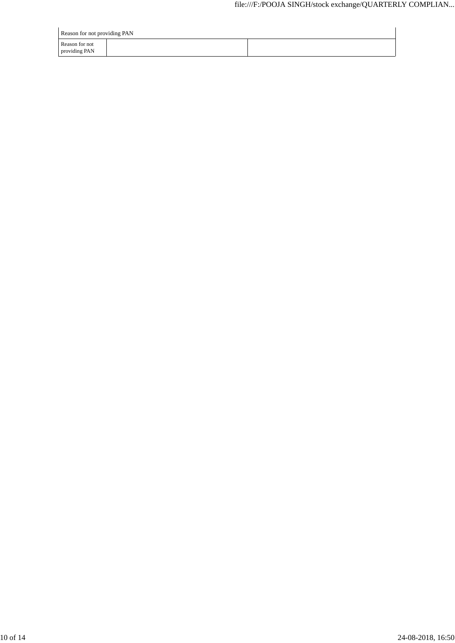| Reason for not providing PAN    |  |
|---------------------------------|--|
| Reason for not<br>providing PAN |  |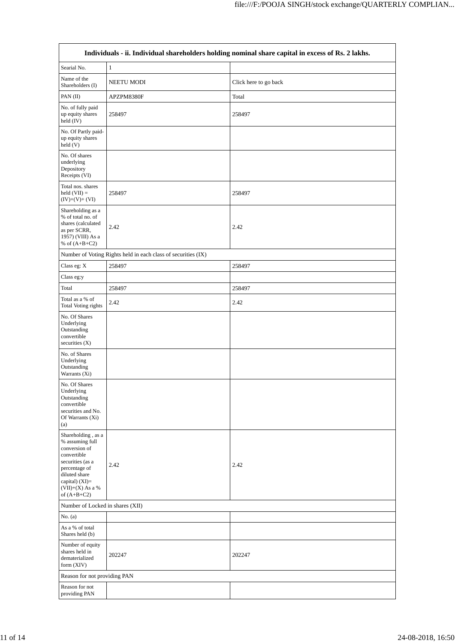|                                                                                                                                                                                           |                                                               | Individuals - ii. Individual shareholders holding nominal share capital in excess of Rs. 2 lakhs. |
|-------------------------------------------------------------------------------------------------------------------------------------------------------------------------------------------|---------------------------------------------------------------|---------------------------------------------------------------------------------------------------|
| Searial No.                                                                                                                                                                               | $\mathbf{1}$                                                  |                                                                                                   |
| Name of the<br>Shareholders (I)                                                                                                                                                           | NEETU MODI                                                    | Click here to go back                                                                             |
| PAN (II)                                                                                                                                                                                  | APZPM8380F                                                    | Total                                                                                             |
| No. of fully paid<br>up equity shares<br>held (IV)                                                                                                                                        | 258497                                                        | 258497                                                                                            |
| No. Of Partly paid-<br>up equity shares<br>held(V)                                                                                                                                        |                                                               |                                                                                                   |
| No. Of shares<br>underlying<br>Depository<br>Receipts (VI)                                                                                                                                |                                                               |                                                                                                   |
| Total nos. shares<br>$held (VII) =$<br>$(IV)+(V)+(VI)$                                                                                                                                    | 258497                                                        | 258497                                                                                            |
| Shareholding as a<br>% of total no. of<br>shares (calculated<br>as per SCRR,<br>1957) (VIII) As a<br>% of $(A+B+C2)$                                                                      | 2.42                                                          | 2.42                                                                                              |
|                                                                                                                                                                                           | Number of Voting Rights held in each class of securities (IX) |                                                                                                   |
| Class eg: X                                                                                                                                                                               | 258497                                                        | 258497                                                                                            |
| Class eg:y                                                                                                                                                                                |                                                               |                                                                                                   |
| Total                                                                                                                                                                                     | 258497                                                        | 258497                                                                                            |
| Total as a % of<br><b>Total Voting rights</b>                                                                                                                                             | 2.42                                                          | 2.42                                                                                              |
| No. Of Shares<br>Underlying<br>Outstanding<br>convertible<br>securities (X)                                                                                                               |                                                               |                                                                                                   |
| No. of Shares<br>Underlying<br>Outstanding<br>Warrants (Xi)                                                                                                                               |                                                               |                                                                                                   |
| No. Of Shares<br>Underlying<br>Outstanding<br>convertible<br>securities and No.<br>Of Warrants (Xi)<br>(a)                                                                                |                                                               |                                                                                                   |
| Shareholding, as a<br>% assuming full<br>conversion of<br>convertible<br>securities (as a<br>percentage of<br>diluted share<br>capital) $(XI)=$<br>$(VII)+(X)$ As a $\%$<br>of $(A+B+C2)$ | 2.42                                                          | 2.42                                                                                              |
| Number of Locked in shares (XII)                                                                                                                                                          |                                                               |                                                                                                   |
| No. $(a)$                                                                                                                                                                                 |                                                               |                                                                                                   |
| As a % of total<br>Shares held (b)                                                                                                                                                        |                                                               |                                                                                                   |
| Number of equity<br>shares held in<br>dematerialized<br>form (XIV)                                                                                                                        | 202247                                                        | 202247                                                                                            |
| Reason for not providing PAN                                                                                                                                                              |                                                               |                                                                                                   |
| Reason for not<br>providing PAN                                                                                                                                                           |                                                               |                                                                                                   |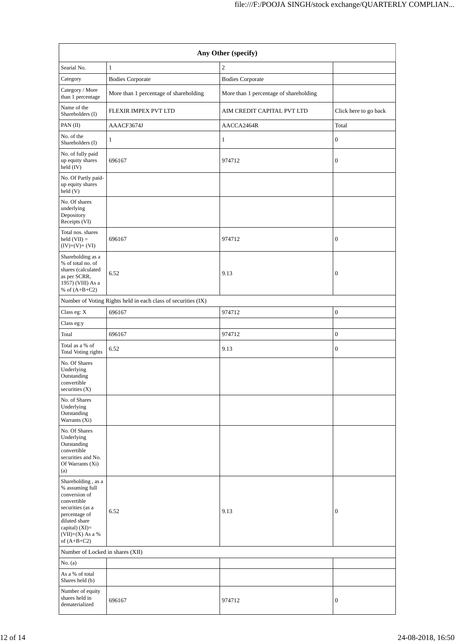| Any Other (specify)                                                                                                                                                                    |                                                               |                                        |                       |  |  |  |
|----------------------------------------------------------------------------------------------------------------------------------------------------------------------------------------|---------------------------------------------------------------|----------------------------------------|-----------------------|--|--|--|
| Searial No.                                                                                                                                                                            | $\mathbf{1}$                                                  | $\overline{c}$                         |                       |  |  |  |
| Category                                                                                                                                                                               | <b>Bodies Corporate</b>                                       | <b>Bodies Corporate</b>                |                       |  |  |  |
| Category / More<br>than 1 percentage                                                                                                                                                   | More than 1 percentage of shareholding                        | More than 1 percentage of shareholding |                       |  |  |  |
| Name of the<br>Shareholders (I)                                                                                                                                                        | FLEXIR IMPEX PVT LTD                                          | AIM CREDIT CAPITAL PVT LTD             | Click here to go back |  |  |  |
| PAN (II)                                                                                                                                                                               | AAACF3674J                                                    | AACCA2464R                             | Total                 |  |  |  |
| No. of the<br>Shareholders (I)                                                                                                                                                         | 1                                                             | 1                                      | $\boldsymbol{0}$      |  |  |  |
| No. of fully paid<br>up equity shares<br>held (IV)                                                                                                                                     | 696167                                                        | 974712                                 | $\mathbf{0}$          |  |  |  |
| No. Of Partly paid-<br>up equity shares<br>held(V)                                                                                                                                     |                                                               |                                        |                       |  |  |  |
| No. Of shares<br>underlying<br>Depository<br>Receipts (VI)                                                                                                                             |                                                               |                                        |                       |  |  |  |
| Total nos. shares<br>held $(VII) =$<br>$(IV)+(V)+(VI)$                                                                                                                                 | 696167                                                        | 974712                                 | $\boldsymbol{0}$      |  |  |  |
| Shareholding as a<br>% of total no. of<br>shares (calculated<br>as per SCRR,<br>1957) (VIII) As a<br>% of $(A+B+C2)$                                                                   | 6.52                                                          | 9.13                                   | $\boldsymbol{0}$      |  |  |  |
|                                                                                                                                                                                        | Number of Voting Rights held in each class of securities (IX) |                                        |                       |  |  |  |
| Class eg: X                                                                                                                                                                            | 696167                                                        | 974712                                 | $\boldsymbol{0}$      |  |  |  |
| Class eg:y                                                                                                                                                                             |                                                               |                                        |                       |  |  |  |
| Total                                                                                                                                                                                  | 696167                                                        | 974712                                 | $\mathbf{0}$          |  |  |  |
| Total as a % of<br>Total Voting rights                                                                                                                                                 | 6.52                                                          | 9.13                                   | $\boldsymbol{0}$      |  |  |  |
| No. Of Shares<br>Underlying<br>Outstanding<br>convertible<br>securities $(X)$                                                                                                          |                                                               |                                        |                       |  |  |  |
| No. of Shares<br>Underlying<br>Outstanding<br>Warrants (Xi)                                                                                                                            |                                                               |                                        |                       |  |  |  |
| No. Of Shares<br>Underlying<br>Outstanding<br>convertible<br>securities and No.<br>Of Warrants (Xi)<br>(a)                                                                             |                                                               |                                        |                       |  |  |  |
| Shareholding, as a<br>% assuming full<br>conversion of<br>convertible<br>securities (as a<br>percentage of<br>diluted share<br>capital) $(XI)=$<br>$(VII)+(X)$ As a %<br>of $(A+B+C2)$ | 6.52                                                          | 9.13                                   | $\boldsymbol{0}$      |  |  |  |
| Number of Locked in shares (XII)                                                                                                                                                       |                                                               |                                        |                       |  |  |  |
| No. $(a)$<br>As a % of total                                                                                                                                                           |                                                               |                                        |                       |  |  |  |
| Shares held (b)<br>Number of equity<br>shares held in<br>dematerialized                                                                                                                | 696167                                                        | 974712                                 | $\mathbf{0}$          |  |  |  |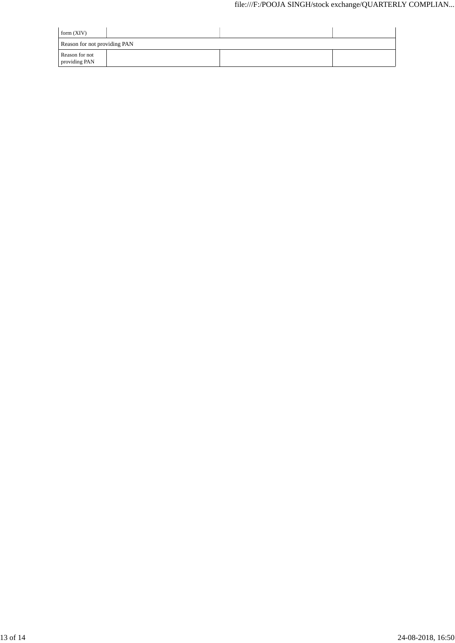| form $(XIV)$                    |  |  |  |
|---------------------------------|--|--|--|
| Reason for not providing PAN    |  |  |  |
| Reason for not<br>providing PAN |  |  |  |